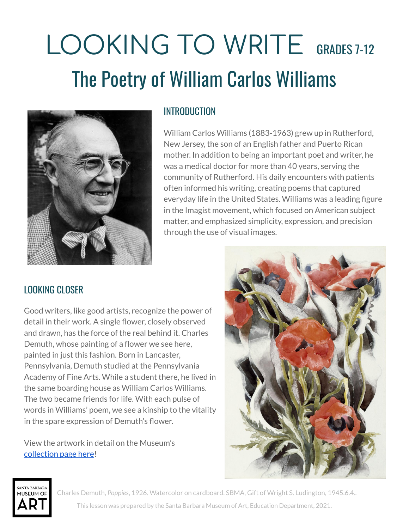# LOOKING TO WRITE GRADES 7-12 The Poetry of William Carlos Williams



## INTRODUCTION

William Carlos Williams (1883-1963) grew up in Rutherford, New Jersey, the son of an English father and Puerto Rican mother. In addition to being an important poet and writer, he was a medical doctor for more than 40 years, serving the community of Rutherford. His daily encounters with patients often informed his writing, creating poems that captured everyday life in the United States. Williams was a leading figure in the Imagist movement, which focused on American subject matter, and emphasized simplicity, expression, and precision through the use of visual images.

# LOOKING CLOSER

Good writers, like good artists, recognize the power of detail in their work. A single flower, closely observed and drawn, has the force of the real behind it. Charles Demuth, whose painting of a flower we see here, painted in just this fashion. Born in Lancaster, Pennsylvania, Demuth studied at the Pennsylvania Academy of Fine Arts. While a student there, he lived in the same boarding house as William Carlos Williams. The two became friends for life. With each pulse of words in Williams' poem, we see a kinship to the vitality in the spare expression of Demuth's flower.

View the artwork in detail on the Museum's [collection](http://collections.sbma.net/objects/18310/poppies?ctx=1f00c3c1-a4df-4972-a59a-e603ad1bd3e7&idx=1) page here!





Charles Demuth, *Poppies*, 1926. Watercolor on cardboard. SBMA, Gift of Wright S. Ludington, 1945.6.4.. This lesson was prepared by the Santa Barbara Museum of Art, Education Department, 2021.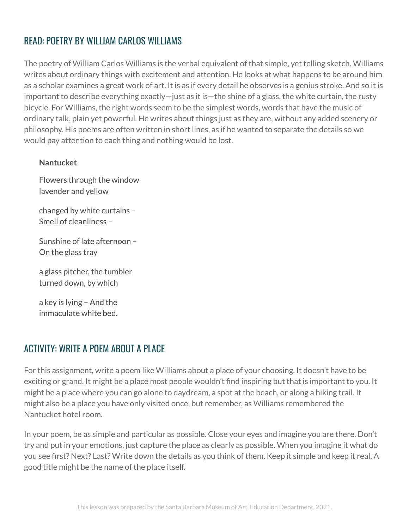# READ: POETRY BY WILLIAM CARLOS WILLIAMS

The poetry of William Carlos Williams is the verbal equivalent of that simple, yet telling sketch. Williams writes about ordinary things with excitement and attention. He looks at what happens to be around him as a scholar examines a great work of art. It is as if every detail he observes is a genius stroke. And so it is important to describe everything exactly—just as it is—the shine of a glass, the white curtain, the rusty bicycle. For Williams, the right words seem to be the simplest words, words that have the music of ordinary talk, plain yet powerful. He writes about things just as they are, without any added scenery or philosophy. His poems are often written in short lines, as if he wanted to separate the details so we would pay attention to each thing and nothing would be lost.

#### **Nantucket**

Flowers through the window lavender and yellow

changed by white curtains – Smell of cleanliness –

Sunshine of late afternoon – On the glass tray

a glass pitcher, the tumbler turned down, by which

a key is lying – And the immaculate white bed.

# ACTIVITY: WRITE A POEM ABOUT A PLACE

For this assignment, write a poem like Williams about a place of your choosing. It doesn't have to be exciting or grand. It might be a place most people wouldn't find inspiring but that is important to you. It might be a place where you can go alone to daydream, a spot at the beach, or along a hiking trail. It might also be a place you have only visited once, but remember, as Williams remembered the Nantucket hotel room.

In your poem, be as simple and particular as possible. Close your eyes and imagine you are there. Don't try and put in your emotions, just capture the place as clearly as possible. When you imagine it what do you see first? Next? Last? Write down the details as you think of them. Keep it simple and keep it real. A good title might be the name of the place itself.